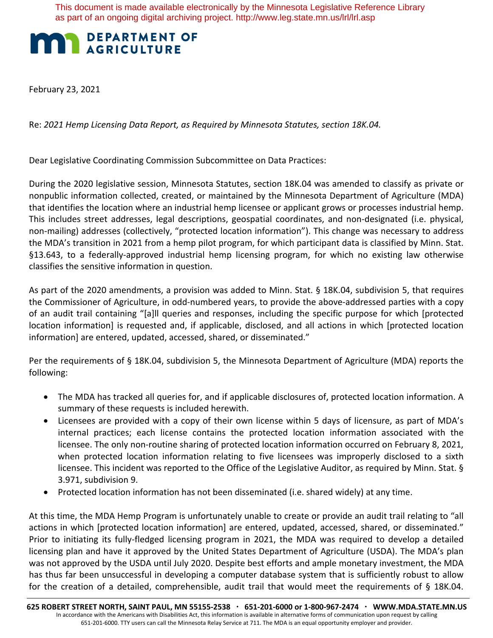This document is made available electronically by the Minnesota Legislative Reference Library as part of an ongoing digital archiving project. http://www.leg.state.mn.us/lrl/lrl.asp

## **MAN DEPARTMENT DEPARTMENT OF**

February 23, 2021

Re: *2021 Hemp Licensing Data Report, as Required by Minnesota Statutes, section 18K.04.* 

Dear Legislative Coordinating Commission Subcommittee on Data Practices:

During the 2020 legislative session, Minnesota Statutes, section 18K.04 was amended to classify as private or nonpublic information collected, created, or maintained by the Minnesota Department of Agriculture (MDA) that identifies the location where an industrial hemp licensee or applicant grows or processes industrial hemp. This includes street addresses, legal descriptions, geospatial coordinates, and non-designated (i.e. physical, non-mailing) addresses (collectively, "protected location information"). This change was necessary to address the MDA's transition in 2021 from a hemp pilot program, for which participant data is classified by Minn. Stat. §13.643, to a federally-approved industrial hemp licensing program, for which no existing law otherwise classifies the sensitive information in question.

As part of the 2020 amendments, a provision was added to Minn. Stat. § 18K.04, subdivision 5, that requires the Commissioner of Agriculture, in odd-numbered years, to provide the above-addressed parties with a copy of an audit trail containing "[a]ll queries and responses, including the specific purpose for which [protected location information] is requested and, if applicable, disclosed, and all actions in which [protected location information] are entered, updated, accessed, shared, or disseminated."

Per the requirements of § 18K.04, subdivision 5, the Minnesota Department of Agriculture (MDA) reports the following:

- The MDA has tracked all queries for, and if applicable disclosures of, protected location information. A summary of these requests is included herewith.
- Licensees are provided with a copy of their own license within 5 days of licensure, as part of MDA's internal practices; each license contains the protected location information associated with the licensee. The only non-routine sharing of protected location information occurred on February 8, 2021, when protected location information relating to five licensees was improperly disclosed to a sixth licensee. This incident was reported to the Office of the Legislative Auditor, as required by Minn. Stat. § 3.971, subdivision 9.
- Protected location information has not been disseminated (i.e. shared widely) at any time.

At this time, the MDA Hemp Program is unfortunately unable to create or provide an audit trail relating to "all actions in which [protected location information] are entered, updated, accessed, shared, or disseminated." Prior to initiating its fully-fledged licensing program in 2021, the MDA was required to develop a detailed licensing plan and have it approved by the United States Department of Agriculture (USDA). The MDA's plan was not approved by the USDA until July 2020. Despite best efforts and ample monetary investment, the MDA has thus far been unsuccessful in developing a computer database system that is sufficiently robust to allow for the creation of a detailed, comprehensible, audit trail that would meet the requirements of § 18K.04.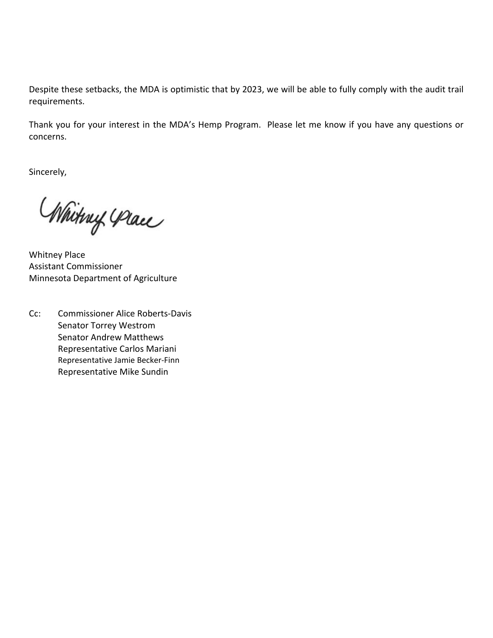Despite these setbacks, the MDA is optimistic that by 2023, we will be able to fully comply with the audit trail requirements.

Thank you for your interest in the MDA's Hemp Program. Please let me know if you have any questions or concerns.

Sincerely,

Whitny Place

Whitney Place Assistant Commissioner Minnesota Department of Agriculture

Cc: Commissioner Alice Roberts-Davis Senator Torrey Westrom Senator Andrew Matthews Representative Carlos Mariani Representative Jamie Becker-Finn Representative Mike Sundin